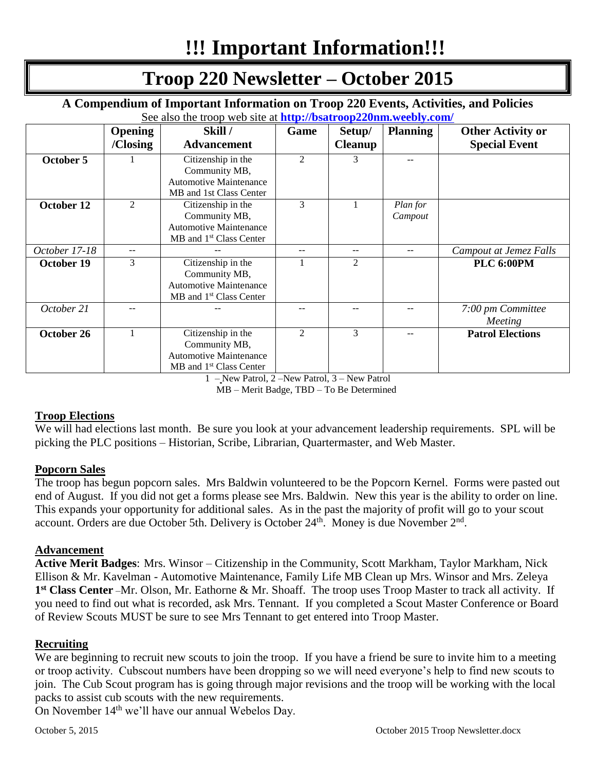# **!!! Important Information!!!**

# **Troop 220 Newsletter – October 2015**

**A Compendium of Important Information on Troop 220 Events, Activities, and Policies** See also the troop web site at **<http://bsatroop220nm.weebly.com/>**

|               | <b>Opening</b> | Skill/                              | Game                        | Setup/         | <b>Planning</b> | <b>Other Activity or</b> |
|---------------|----------------|-------------------------------------|-----------------------------|----------------|-----------------|--------------------------|
|               | /Closing       | <b>Advancement</b>                  |                             | <b>Cleanup</b> |                 | <b>Special Event</b>     |
| October 5     |                | Citizenship in the                  | $\mathcal{D}_{\mathcal{L}}$ | 3              |                 |                          |
|               |                | Community MB,                       |                             |                |                 |                          |
|               |                | <b>Automotive Maintenance</b>       |                             |                |                 |                          |
|               |                | MB and 1st Class Center             |                             |                |                 |                          |
| October 12    | 2              | Citizenship in the                  | 3                           |                | Plan for        |                          |
|               |                | Community MB,                       |                             |                | Campout         |                          |
|               |                | <b>Automotive Maintenance</b>       |                             |                |                 |                          |
|               |                | MB and 1 <sup>st</sup> Class Center |                             |                |                 |                          |
| October 17-18 | $- -$          |                                     |                             | --             |                 | Campout at Jemez Falls   |
| October 19    | 3              | Citizenship in the                  |                             | 2              |                 | <b>PLC 6:00PM</b>        |
|               |                | Community MB,                       |                             |                |                 |                          |
|               |                | <b>Automotive Maintenance</b>       |                             |                |                 |                          |
|               |                | MB and 1 <sup>st</sup> Class Center |                             |                |                 |                          |
| October 21    |                |                                     |                             |                |                 | 7:00 pm Committee        |
|               |                |                                     |                             |                |                 | Meeting                  |
| October 26    |                | Citizenship in the                  | $\mathfrak{D}$              | 3              |                 | <b>Patrol Elections</b>  |
|               |                | Community MB,                       |                             |                |                 |                          |
|               |                | <b>Automotive Maintenance</b>       |                             |                |                 |                          |
|               |                | $MB$ and $1st$ Class Center         |                             |                |                 |                          |

1 – New Patrol, 2 –New Patrol, 3 – New Patrol

MB – Merit Badge, TBD – To Be Determined

# **Troop Elections**

We will had elections last month. Be sure you look at your advancement leadership requirements. SPL will be picking the PLC positions – Historian, Scribe, Librarian, Quartermaster, and Web Master.

# **Popcorn Sales**

The troop has begun popcorn sales. Mrs Baldwin volunteered to be the Popcorn Kernel. Forms were pasted out end of August. If you did not get a forms please see Mrs. Baldwin. New this year is the ability to order on line. This expands your opportunity for additional sales. As in the past the majority of profit will go to your scout account. Orders are due October 5th. Delivery is October  $24<sup>th</sup>$ . Money is due November  $2<sup>nd</sup>$ .

# **Advancement**

**Active Merit Badges**: Mrs. Winsor – Citizenship in the Community, Scott Markham, Taylor Markham, Nick Ellison & Mr. Kavelman - Automotive Maintenance, Family Life MB Clean up Mrs. Winsor and Mrs. Zeleya **1 st Class Center** –Mr. Olson, Mr. Eathorne & Mr. Shoaff. The troop uses Troop Master to track all activity. If you need to find out what is recorded, ask Mrs. Tennant. If you completed a Scout Master Conference or Board of Review Scouts MUST be sure to see Mrs Tennant to get entered into Troop Master.

# **Recruiting**

We are beginning to recruit new scouts to join the troop. If you have a friend be sure to invite him to a meeting or troop activity. Cubscout numbers have been dropping so we will need everyone's help to find new scouts to join. The Cub Scout program has is going through major revisions and the troop will be working with the local packs to assist cub scouts with the new requirements.

On November 14<sup>th</sup> we'll have our annual Webelos Day.